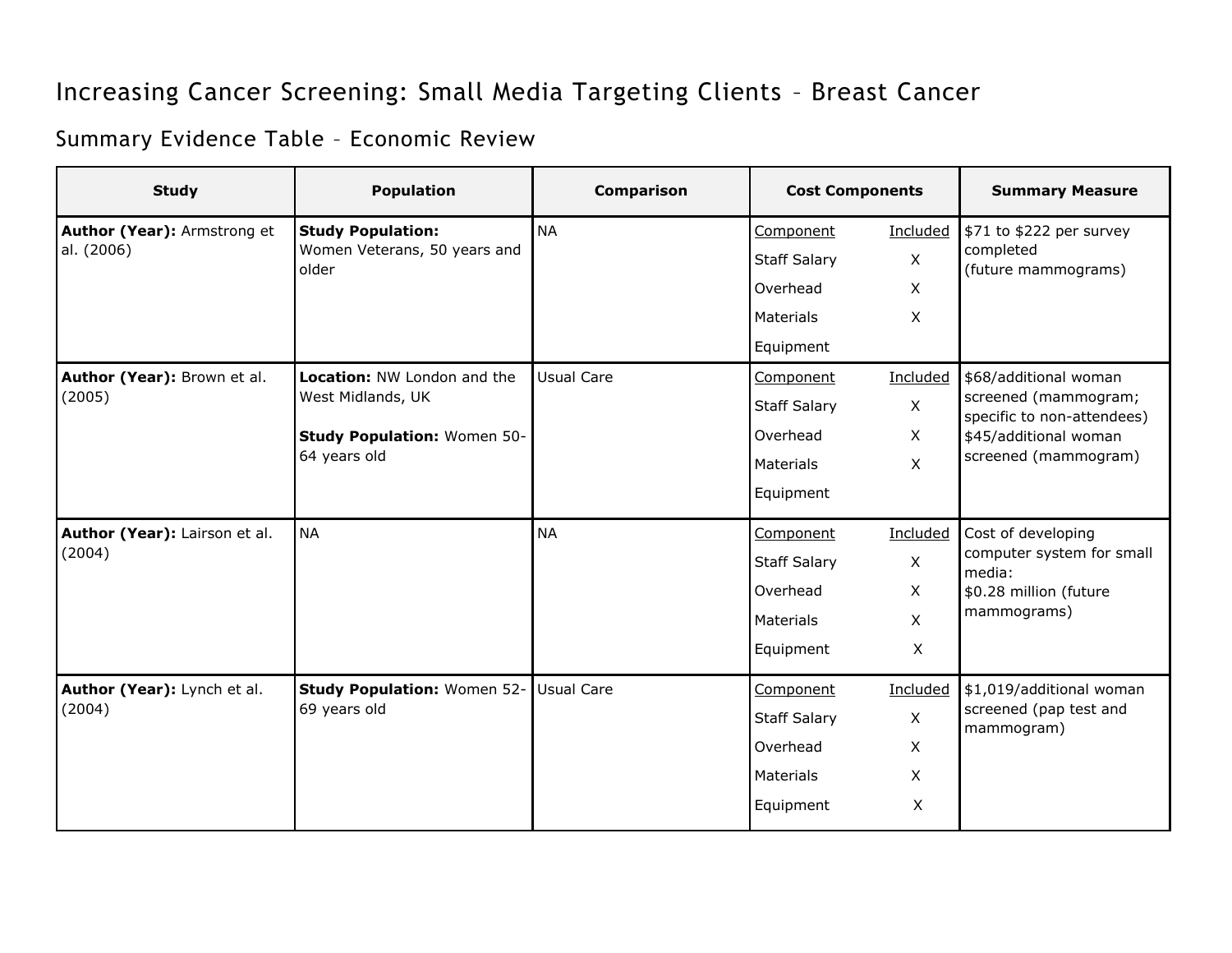## Increasing Cancer Screening: Small Media Targeting Clients – Breast Cancer

## Summary Evidence Table – Economic Review

| <b>Study</b>                              | <b>Population</b>                                                 | <b>Comparison</b> | <b>Cost Components</b> |                           | <b>Summary Measure</b>                                                                                                       |
|-------------------------------------------|-------------------------------------------------------------------|-------------------|------------------------|---------------------------|------------------------------------------------------------------------------------------------------------------------------|
| Author (Year): Armstrong et<br>al. (2006) | <b>Study Population:</b><br>Women Veterans, 50 years and<br>older | <b>NA</b>         | Component              | Included                  | \$71 to \$222 per survey<br>completed<br>(future mammograms)                                                                 |
|                                           |                                                                   |                   | <b>Staff Salary</b>    | $\mathsf X$               |                                                                                                                              |
|                                           |                                                                   |                   | Overhead               | $\mathsf{X}$              |                                                                                                                              |
|                                           |                                                                   |                   | <b>Materials</b>       | $\mathsf{X}$              |                                                                                                                              |
|                                           |                                                                   |                   | Equipment              |                           |                                                                                                                              |
| Author (Year): Brown et al.<br>(2005)     | Location: NW London and the<br>West Midlands, UK                  | <b>Usual Care</b> | Component              | Included                  | \$68/additional woman<br>screened (mammogram;<br>specific to non-attendees)<br>\$45/additional woman<br>screened (mammogram) |
|                                           |                                                                   |                   | <b>Staff Salary</b>    | $\mathsf X$               |                                                                                                                              |
|                                           | Study Population: Women 50-<br>64 years old                       |                   | Overhead               | $\mathsf{X}$              |                                                                                                                              |
|                                           |                                                                   |                   | <b>Materials</b>       | $\mathsf{X}$              |                                                                                                                              |
|                                           |                                                                   |                   | Equipment              |                           |                                                                                                                              |
| Author (Year): Lairson et al.<br>(2004)   | <b>NA</b>                                                         | <b>NA</b>         | Component              | Included                  | Cost of developing<br>computer system for small<br>media:<br>\$0.28 million (future<br>mammograms)                           |
|                                           |                                                                   |                   | <b>Staff Salary</b>    | $\mathsf{X}$              |                                                                                                                              |
|                                           |                                                                   |                   | Overhead               | $\times$                  |                                                                                                                              |
|                                           |                                                                   |                   | <b>Materials</b>       | $\times$                  |                                                                                                                              |
|                                           |                                                                   |                   | Equipment              | $\boldsymbol{\mathsf{X}}$ |                                                                                                                              |
| Author (Year): Lynch et al.<br>(2004)     | Study Population: Women 52- Usual Care<br>69 years old            |                   | Component              | Included                  | \$1,019/additional woman<br>screened (pap test and<br>mammogram)                                                             |
|                                           |                                                                   |                   | <b>Staff Salary</b>    | $\mathsf{X}$              |                                                                                                                              |
|                                           |                                                                   |                   | Overhead               | X                         |                                                                                                                              |
|                                           |                                                                   |                   | <b>Materials</b>       | $\mathsf{X}$              |                                                                                                                              |
|                                           |                                                                   |                   | Equipment              | X                         |                                                                                                                              |